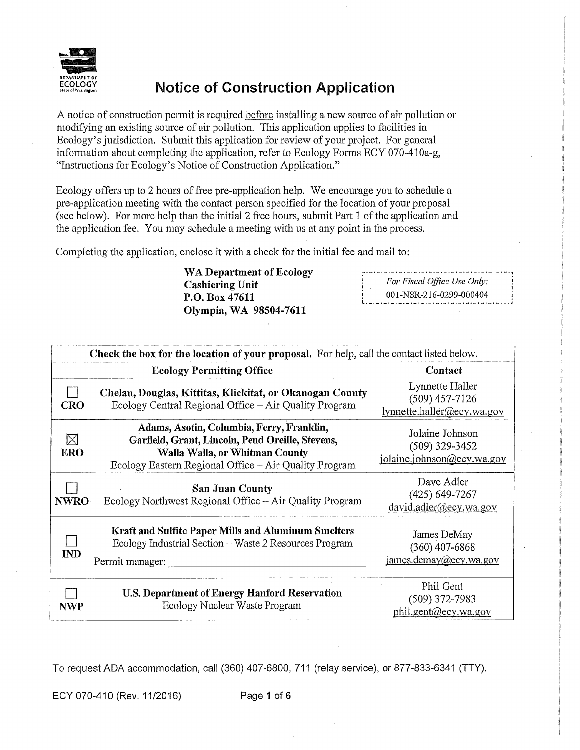

A notice of construction pennit is required before installing a new source of air pollution or modifying an existing source of air pollution. This application applies to facilities in Ecology's jurisdiction. Submit this application for review of your project. For general information about completing the application, refer to Ecology Forms ECY 070-41Oa-g, "Instructions for Ecology's Notice of Construction Application."

Ecology offers up to 2 hours of free pre-application help. We encourage you to schedule a pre-application meeting with the contact person specified for the location of your proposal (see below). For more help than the initial 2 free hours, submit Part 1 of the application and the application fee. You may schedule a meeting with us at any point in the process.

Completing the application, enclose it with a check for the initial fee and mail to:

**WA Department of Ecology Cashiering Unit Cashiering Unit** *For Fiscal Office Use Only:* **P.O. Box 47611** 001-NSR-216-0299-000404 **Olympia, WA 98504-7611** 

| Check the box for the location of your proposal. For help, call the contact listed below. |                                                                                                                                                                                          |                                                                   |  |  |  |
|-------------------------------------------------------------------------------------------|------------------------------------------------------------------------------------------------------------------------------------------------------------------------------------------|-------------------------------------------------------------------|--|--|--|
|                                                                                           | <b>Ecology Permitting Office</b>                                                                                                                                                         | Contact                                                           |  |  |  |
| <b>CRO</b>                                                                                | Chelan, Douglas, Kittitas, Klickitat, or Okanogan County<br>Ecology Central Regional Office - Air Quality Program                                                                        | Lynnette Haller<br>$(509)$ 457-7126<br>lynnette.haller@ecy.wa.gov |  |  |  |
| ⊠<br><b>ERO</b>                                                                           | Adams, Asotin, Columbia, Ferry, Franklin,<br>Garfield, Grant, Lincoln, Pend Oreille, Stevens,<br>Walla Walla, or Whitman County<br>Ecology Eastern Regional Office - Air Quality Program | Jolaine Johnson<br>$(509)$ 329-3452<br>jolaine.johnson@ecy.wa.gov |  |  |  |
| <b>NWRO</b>                                                                               | <b>San Juan County</b><br>Ecology Northwest Regional Office - Air Quality Program                                                                                                        | Dave Adler<br>$(425) 649 - 7267$<br>david.adler@ecy.wa.gov        |  |  |  |
| <b>IND</b>                                                                                | <b>Kraft and Sulfite Paper Mills and Aluminum Smelters</b><br>Ecology Industrial Section - Waste 2 Resources Program<br>Permit manager:                                                  | James DeMay<br>(360) 407-6868<br>james.demay@ecy.wa.gov           |  |  |  |
| NWP                                                                                       | <b>U.S. Department of Energy Hanford Reservation</b><br>Ecology Nuclear Waste Program                                                                                                    | Phil Gent<br>(509) 372-7983<br>$phil$ gent $@$ ecy wa gov         |  |  |  |

To request ADA accommodation, call (360) 407-6800, 711 (relay service), or 877-833-6341 (TTY).

ECY 070-41 O (Rev. 11/2016) Page **1 of 6**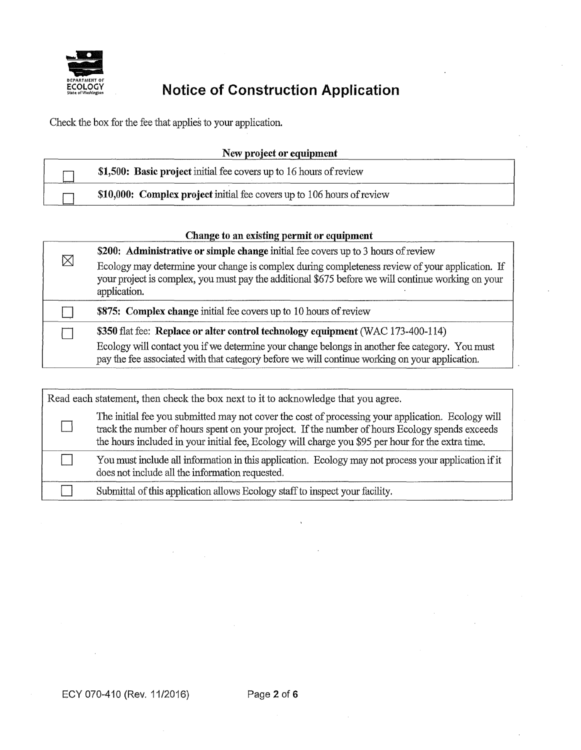

Check the box for the fee that applies to your application.

| New project or equipment |                                                                        |  |  |  |
|--------------------------|------------------------------------------------------------------------|--|--|--|
|                          | \$1,500: Basic project initial fee covers up to 16 hours of review     |  |  |  |
|                          | \$10,000: Complex project initial fee covers up to 106 hours of review |  |  |  |

## **Change to an existing permit or equipment**

| \$200: Administrative or simple change initial fee covers up to 3 hours of review                                                                                                                                     |  |  |
|-----------------------------------------------------------------------------------------------------------------------------------------------------------------------------------------------------------------------|--|--|
| Ecology may determine your change is complex during completeness review of your application. If<br>your project is complex, you must pay the additional \$675 before we will continue working on your<br>application. |  |  |
| \$875: Complex change initial fee covers up to 10 hours of review                                                                                                                                                     |  |  |
| \$350 flat fee: Replace or alter control technology equipment (WAC 173-400-114)                                                                                                                                       |  |  |
| Ecology will contact you if we determine your change belongs in another fee category. You must<br>pay the fee associated with that category before we will continue working on your application.                      |  |  |
|                                                                                                                                                                                                                       |  |  |

| Read each statement, then check the box next to it to acknowledge that you agree. |                                                                                                                                                                                                                                                                                                          |  |  |
|-----------------------------------------------------------------------------------|----------------------------------------------------------------------------------------------------------------------------------------------------------------------------------------------------------------------------------------------------------------------------------------------------------|--|--|
|                                                                                   | The initial fee you submitted may not cover the cost of processing your application. Ecology will<br>track the number of hours spent on your project. If the number of hours Ecology spends exceeds<br>the hours included in your initial fee, Ecology will charge you \$95 per hour for the extra time. |  |  |
|                                                                                   | You must include all information in this application. Ecology may not process your application if it<br>does not include all the information requested.                                                                                                                                                  |  |  |
|                                                                                   | Submittal of this application allows Ecology staff to inspect your facility.                                                                                                                                                                                                                             |  |  |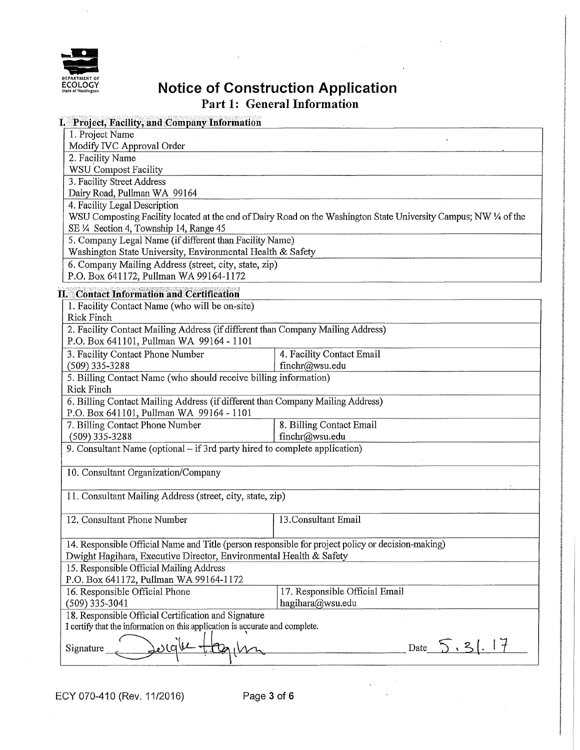

# **state of Washington Notice of Construction Application**

## **Part 1: General Information**

| I. Project, Facility, and Company Information                                                      |                                                                                                                   |  |  |  |  |  |
|----------------------------------------------------------------------------------------------------|-------------------------------------------------------------------------------------------------------------------|--|--|--|--|--|
| 1. Project Name                                                                                    |                                                                                                                   |  |  |  |  |  |
| Modify IVC Approval Order                                                                          |                                                                                                                   |  |  |  |  |  |
| 2. Facility Name                                                                                   |                                                                                                                   |  |  |  |  |  |
| WSU Compost Facility                                                                               |                                                                                                                   |  |  |  |  |  |
| 3. Facility Street Address                                                                         |                                                                                                                   |  |  |  |  |  |
| Dairy Road, Pullman WA 99164                                                                       |                                                                                                                   |  |  |  |  |  |
| 4. Facility Legal Description                                                                      |                                                                                                                   |  |  |  |  |  |
|                                                                                                    | WSU Composting Facility located at the end of Dairy Road on the Washington State University Campus; NW 1/4 of the |  |  |  |  |  |
| SE 1/4 Section 4, Township 14, Range 45                                                            |                                                                                                                   |  |  |  |  |  |
| 5. Company Legal Name (if different than Facility Name)                                            |                                                                                                                   |  |  |  |  |  |
| Washington State University, Environmental Health & Safety                                         |                                                                                                                   |  |  |  |  |  |
| 6. Company Mailing Address (street, city, state, zip)                                              |                                                                                                                   |  |  |  |  |  |
| P.O. Box 641172, Pullman WA 99164-1172                                                             |                                                                                                                   |  |  |  |  |  |
|                                                                                                    |                                                                                                                   |  |  |  |  |  |
| II. Contact Information and Certification                                                          |                                                                                                                   |  |  |  |  |  |
| 1. Facility Contact Name (who will be on-site)                                                     |                                                                                                                   |  |  |  |  |  |
| Rick Finch                                                                                         |                                                                                                                   |  |  |  |  |  |
| 2. Facility Contact Mailing Address (if different than Company Mailing Address)                    |                                                                                                                   |  |  |  |  |  |
| P.O. Box 641101, Pullman WA 99164 - 1101                                                           |                                                                                                                   |  |  |  |  |  |
| 3. Facility Contact Phone Number                                                                   | 4. Facility Contact Email                                                                                         |  |  |  |  |  |
| $(509)$ 335-3288                                                                                   | finchr@wsu.edu                                                                                                    |  |  |  |  |  |
| 5. Billing Contact Name (who should receive billing information)                                   |                                                                                                                   |  |  |  |  |  |
| Rick Finch                                                                                         |                                                                                                                   |  |  |  |  |  |
| 6. Billing Contact Mailing Address (if different than Company Mailing Address)                     |                                                                                                                   |  |  |  |  |  |
| P.O. Box 641101, Pullman WA 99164 - 1101                                                           |                                                                                                                   |  |  |  |  |  |
| 7. Billing Contact Phone Number                                                                    | 8. Billing Contact Email                                                                                          |  |  |  |  |  |
| $(509)$ 335-3288                                                                                   | finchr@wsu.edu                                                                                                    |  |  |  |  |  |
| 9. Consultant Name (optional – if 3rd party hired to complete application)                         |                                                                                                                   |  |  |  |  |  |
| 10. Consultant Organization/Company                                                                |                                                                                                                   |  |  |  |  |  |
|                                                                                                    |                                                                                                                   |  |  |  |  |  |
| 11. Consultant Mailing Address (street, city, state, zip)                                          |                                                                                                                   |  |  |  |  |  |
|                                                                                                    |                                                                                                                   |  |  |  |  |  |
| 12. Consultant Phone Number                                                                        | 13. Consultant Email                                                                                              |  |  |  |  |  |
|                                                                                                    |                                                                                                                   |  |  |  |  |  |
| 14. Responsible Official Name and Title (person responsible for project policy or decision-making) |                                                                                                                   |  |  |  |  |  |
| Dwight Hagihara, Executive Director, Environmental Health & Safety                                 |                                                                                                                   |  |  |  |  |  |
| 15. Responsible Official Mailing Address                                                           |                                                                                                                   |  |  |  |  |  |
| P.O. Box 641172, Pullman WA 99164-1172                                                             |                                                                                                                   |  |  |  |  |  |
| 16. Responsible Official Phone                                                                     | 17. Responsible Official Email                                                                                    |  |  |  |  |  |
| $(509)$ 335-3041                                                                                   | hagihara@wsu.edu                                                                                                  |  |  |  |  |  |
| 18. Responsible Official Certification and Signature                                               |                                                                                                                   |  |  |  |  |  |
| I certify that the information on this application is accurate and complete.                       |                                                                                                                   |  |  |  |  |  |
|                                                                                                    |                                                                                                                   |  |  |  |  |  |
| $\delta$<br>Signature                                                                              | ) 、2、<br>Date                                                                                                     |  |  |  |  |  |
|                                                                                                    |                                                                                                                   |  |  |  |  |  |

uleananaana<br>I

I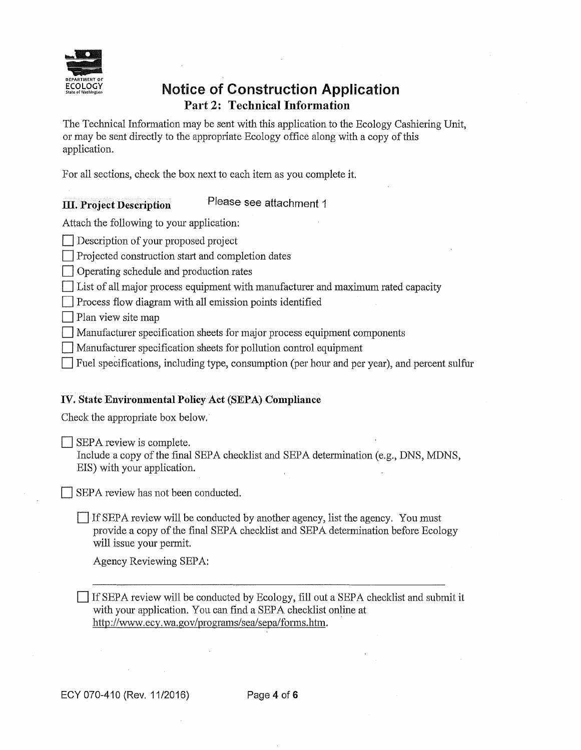

# **Notice of Construction Application** Part 2: Technical Information

The Technical Information may be sent with this application to the Ecology Cashiering Unit, or may be sent directly to the appropriate Ecology office along with a copy of this application.

For all sections, check the box next to each item as you complete it.

# **ill. Project Description** Please see attachment 1

Attach the following to your application:

 $\Box$  Description of your proposed project

 $\Box$  Projected construction start and completion dates

 $\Box$  Operating schedule and production rates

 $\Box$  List of all major process equipment with manufacturer and maximum rated capacity

 $\Box$  Process flow diagram with all emission points identified

 $\Box$  Plan view site map

 $\Box$  Manufacturer specification sheets for major process equipment components

 $\Box$  Manufacturer specification sheets for pollution control equipment

 $\Box$  Fuel specifications, including type, consumption (per hour and per year), and percent sulfur

#### IV. State Environmental Policy Act (SEPA) Compliance

Check the appropriate box below.

SEPA review is complete.

Include a copy of the final SEPA checklist and SEPA determination (e.g., DNS, MDNS, EIS) with your application.

SEPA review has not been conducted.

 $\Box$  If SEPA review will be conducted by another agency, list the agency. You must provide a copy of the final SEPA checklist and SEPA determination before Ecology will issue your permit.

Agency Reviewing SEPA:

If SEPA review will be conducted by Ecology, fill out a SEPA checklist and submit it with your application. You can find a SEPA checklist online at http://www.ecy.wa.gov/programs/sea/sepa/forms.htm.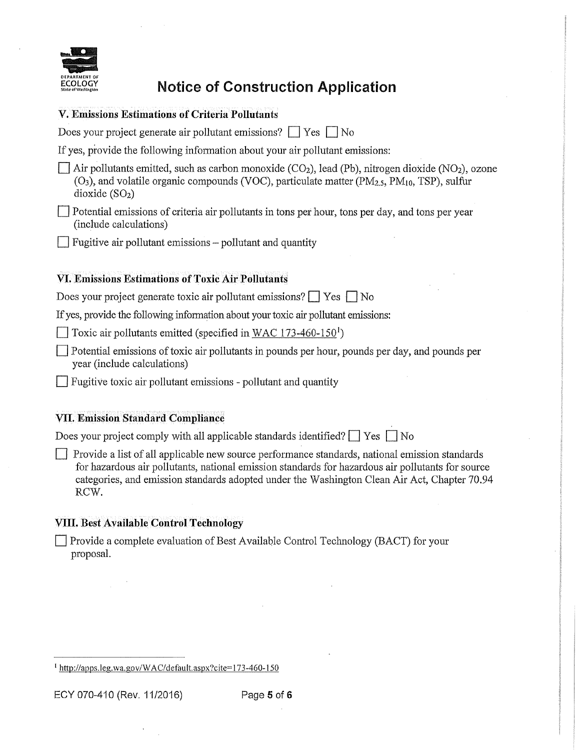

|  | V. Emissions Estimations of Criteria Pollutants |  |
|--|-------------------------------------------------|--|
|  |                                                 |  |

Does your project generate air pollutant emissions?  $\Box$  Yes  $\Box$  No

If yes, provide the following information about your air pollutant emissions:

 $\Box$  Air pollutants emitted, such as carbon monoxide (CO<sub>2</sub>), lead (Pb), nitrogen dioxide (NO<sub>2</sub>), ozone  $(0<sub>3</sub>)$ , and volatile organic compounds (VOC), particulate matter (PM<sub>2.5</sub>, PM<sub>10</sub>, TSP), sulfur  $dioxide(SO<sub>2</sub>)$ 

D Potential emissions of criteria air pollutants in tons per hour, tons per day, and tons per year (include calculations)

 $\Box$  Fugitive air pollutant emissions – pollutant and quantity

## **VI. Emissions Estimations of Toxic Air Pollutants**

Does your project generate toxic air pollutant emissions?  $\Box$  Yes  $\Box$  No

If yes, provide the following information about your toxic air pollutant emissions:

Toxic air pollutants emitted (specified in WAC 173-460-150<sup>1</sup>)

D Potential emissions of toxic air pollutants in pounds per hour, pounds per day, and pounds per year (include calculations)

D Fugitive toxic air pollutant emissions - pollutant and quantity

## **VII. Emission Standard Compliance**

Does your project comply with all applicable standards identified?  $\Box$  Yes  $\Box$  No

 $\Box$  Provide a list of all applicable new source performance standards, national emission standards for hazardous air pollutants, national emission standards for hazardous air pollutants for source categories, and emission standards adopted under the Washington Clean Air Act, Chapter 70.94 RCW.

## **VIII. Best Available Control Technology**

 $\Box$  Provide a complete evaluation of Best Available Control Technology (BACT) for your proposal.

<sup>1</sup> http://apps.leg.wa.gov/WAC/default.aspx?cite=l 73-460-150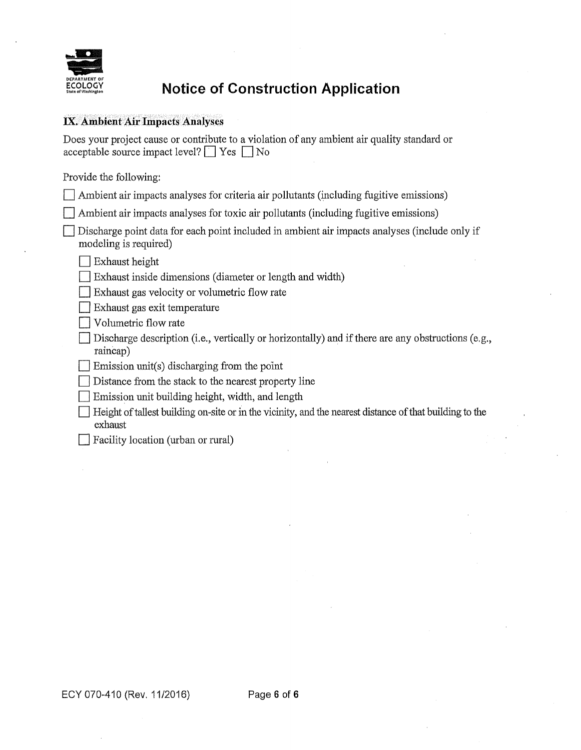

#### **IX. Ambient Air Impacts Analyses**

Does your project cause or contribute to a violation of any ambient air quality standard or acceptable source impact level?  $\Box$  Yes  $\Box$  No

Provide the following:

 $\Box$  Ambient air impacts analyses for criteria air pollutants (including fugitive emissions)

 $\Box$  Ambient air impacts analyses for toxic air pollutants (including fugitive emissions)

- $\Box$  Discharge point data for each point included in ambient air impacts analyses (include only if modeling is required)
	- $\Box$  Exhaust height
	- Exhaust inside dimensions (diameter or length and width)
	- $\Box$  Exhaust gas velocity or volumetric flow rate
	- **Exhaust gas exit temperature**
	- $\Box$  Volumetric flow rate
	- $\Box$  Discharge description (i.e., vertically or horizontally) and if there are any obstructions (e.g., raincap)
	- $\Box$  Emission unit(s) discharging from the point
	- $\Box$  Distance from the stack to the nearest property line
	- $\Box$  Emission unit building height, width, and length
	- $\Box$  Height of tallest building on-site or in the vicinity, and the nearest distance of that building to the exhaust
	- $\Box$  Facility location (urban or rural)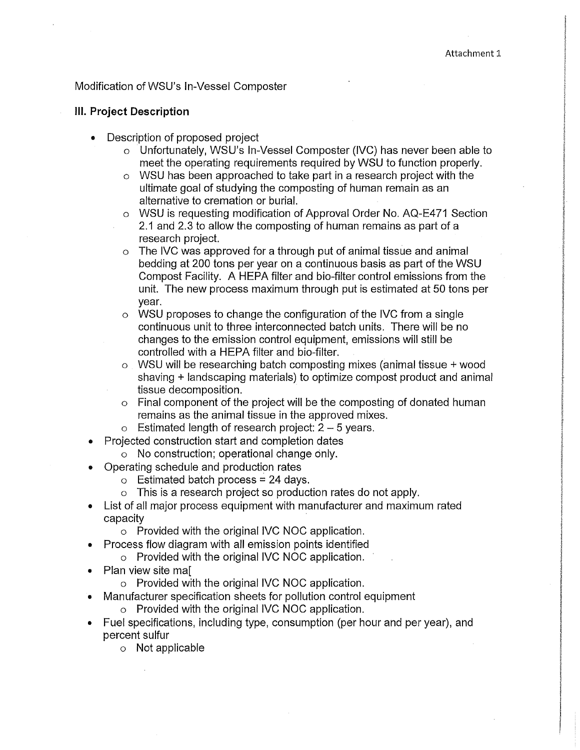#### Modification of WSU's In-Vessel Composter

#### **Ill. Project Description**

- Description of proposed project
	- o Unfortunately, WSU's In-Vessel Composter (IVG) has never been able to meet the operating requirements required by WSU to function properly.
	- $\circ$  WSU has been approached to take part in a research project with the ultimate goal of studying the composting of human remain as an alternative to cremation or burial.
	- o WSU is requesting modification of Approval Order No. AQ-E471 Section 2.1 and 2.3 to allow the composting of human remains as part of a research project.
	- $\circ$  The IVC was approved for a through put of animal tissue and animal bedding at 200 tons per year on a continuous basis as part of the WSU Compost Facility. A HEPA filter and bio-filter control emissions from the unit. The new process maximum through put is estimated at 50 tons per year.
	- $\circ$  WSU proposes to change the configuration of the IVC from a single continuous unit to three interconnected batch units. There will be no changes to the emission control equipment, emissions will still be controlled with a HEPA filter and bio-filter.
	- o WSU will be researching batch composting mixes (animal tissue + wood shaving + landscaping materials) to optimize compost product and animal tissue decomposition.
	- $\circ$  Final component of the project will be the composting of donated human remains as the animal tissue in the approved mixes.
	- $\circ$  Estimated length of research project:  $2 5$  years.
- Projected construction start and completion dates
	- o No construction; operational change only.
- Operating schedule and production rates
	- $\circ$  Estimated batch process = 24 days.
	- $\circ$  This is a research project so production rates do not apply.
- List of all major process equipment with manufacturer and maximum rated capacity
	- o Provided with the original IVC NOC application.
- Process flow diagram with all emission points identified
	- o Provided with the original IVC NOC application.
- Plan view site mal
	- $\circ$  Provided with the original IVC NOC application.
- Manufacturer specification sheets for pollution control equipment
	- o Provided with the original IVC NOC application.
- Fuel specifications, including type, consumption (per hour and per year), and percent sulfur
	- o Not applicable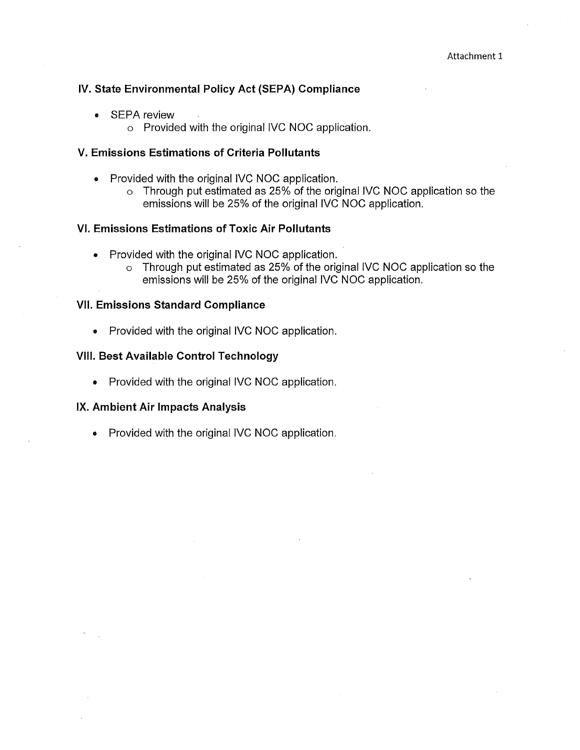## IV. **State Environmental Policy Act (SEPA) Compliance**

- **SEPA review** 
	- o Provided with the original IVC NOC application.

#### **V. Emissions Estimations of Criteria Pollutants**

- Provided with the original IVC NOC application.
	- $\circ$  Through put estimated as 25% of the original IVC NOC application so the emissions will be 25% of the original IVC NOC application.

#### **VI. Emissions Estimations of Toxic Air Pollutants**

- Provided with the original IVC NOC application.
	- o Through put estimated as 25% of the original IVC NOC application so the emissions will be 25% of the original IVC NOC application.

#### **VII. Emissions Standard Compliance**

• Provided with the original IVC NOC application.

#### **VIII. Best Available Control Technology**

• Provided with the original IVC NOC application.

#### **IX. Ambient Air Impacts Analysis**

**Provided with the original IVC NOC application.**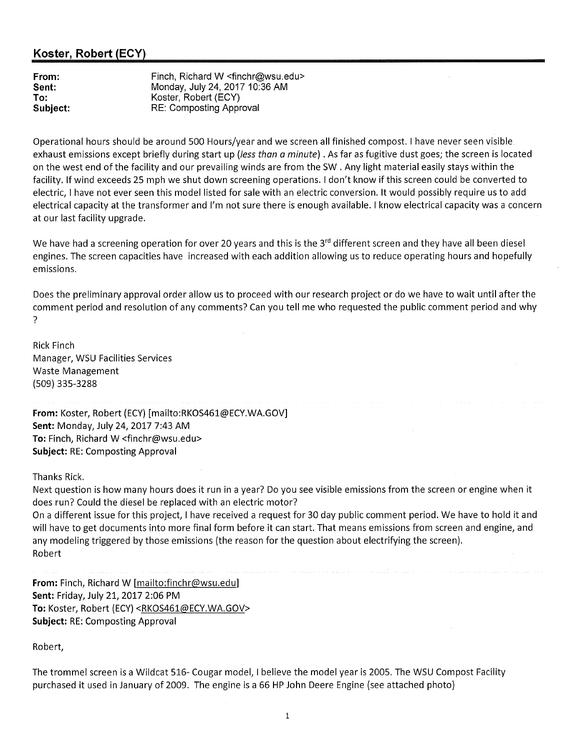# **Koster, Robert (ECY)**

**From:** Finch, Richard W <finchr@wsu.edu> **Sent:** Monday, July 24, 2017 10:36 AM **To:** Koster, Robert (ECY) **Subject:** RE: Composting Approval

Operational hours should be around 500 Hours/year and we screen all finished compost. I have never seen visible exhaust emissions except briefly during start up (less than a minute). As far as fugitive dust goes; the screen is located on the west end of the facility and our prevailing winds are from the SW . Any light material easily stays within the facility. If wind exceeds 25 mph we shut down screening operations. I don't know if this screen could be converted to electric, I have not ever seen this model listed for sale with an electric conversion. It would possibly require us to add electrical capacity at the transformer and I'm not sure there is enough available. I know electrical capacity was a concern at our last facility upgrade.

We have had a screening operation for over 20 years and this is the 3<sup>rd</sup> different screen and they have all been diesel engines. The screen capacities have increased with each addition allowing us to reduce operating hours and hopefully emissions.

Does the preliminary approval order allow us to proceed with our research project or do we have to wait until after the comment period and resolution of any comments? Can you tell me who requested the public comment period and why ?

Rick Finch Manager, WSU Facilities Services Waste Management (509) 335-3288

**From:** Koster, Robert{ECY)[mailto:RKOS461@ECY.WA.GOV] **Sent:** Monday, July 24, 2017 7:43 AM **To:** Finch, Richard W <finchr@wsu.edu> **Subject:** RE: Composting Approval

Thanks Rick.

Next question is how many hours does it run in a year? Do you see visible emissions from the screen or engine when it does run? Could the diesel be replaced with an electric motor?

On a different issue for this project, I have received a request for 30 day public comment period. We have to hold it and will have to get documents into more final form before it can start. That means emissions from screen and engine, and any modeling triggered by those emissions (the reason for the question about electrifying the screen). Robert

**From:** Finch, Richard W [mailto:finchr@wsu.edu] **Sent:** Friday, July 21, 2017 2:06 PM **To:** Koster, Robert (ECY) <RKOS461@ECY.WA.GOV> **Subject:** RE: Composting Approval

Robert,

The trammel screen is a Wildcat 516- Cougar model, I believe the model year is 2005. The WSU Compost Facility purchased it used in January of 2009. The engine is a 66 HP John Deere Engine (see attached photo)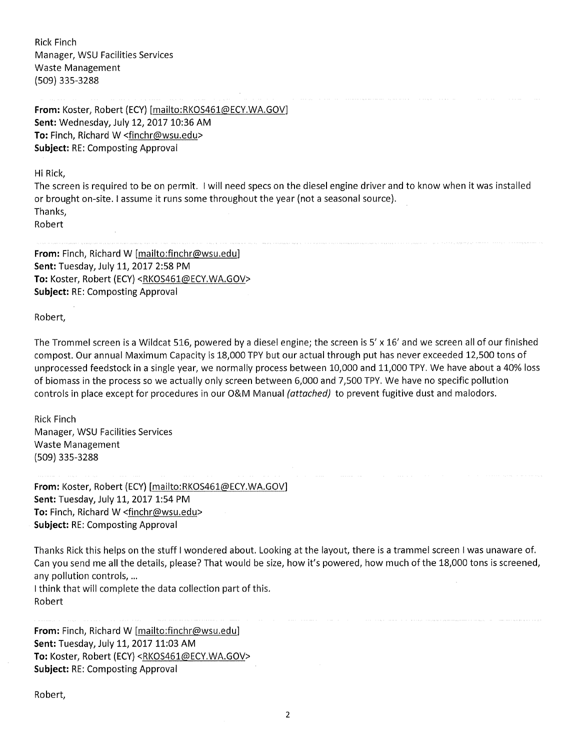Rick Finch Manager, WSU Facilities Services Waste Management (509) 335-3288

**From:** Koster, Robert (ECY) [mailto:RKOS461@ECY.WA.GOV] **Sent:** Wednesday, July 12, 2017 10:36 AM **To:** Finch, Richard W <finchr@wsu.edu> **Subject:** RE: Composting Approval

Hi Rick,

The screen is required to be on permit. I will need specs on the diesel engine driver and to know when it was installed or brought on-site. I assume it runs some throughout the year (not a seasonal source). Thanks, Robert

**From:** Finch, Richard W [mailto:finchr@wsu.edu] **Sent:** Tuesday, July 11, 2017 2:58 PM **To:** Koster, Robert {ECY) <RKOS461@ECY.WA.GOV> **Subject:** RE: Composting Approval

Robert,

The Trommel screen is a Wildcat 516, powered by a diesel engine; the screen is 5'  $\times$  16' and we screen all of our finished compost. Our annual Maximum Capacity is 18,000 TPY but our actual through put has never exceeded 12,500 tons of unprocessed feedstock in a single year, we normally process between 10,000 and 11,000 TPY. We have about a 40% loss of biomass in the process so we actually only screen between 6,000 and 7,500 TPY. We have no specific pollution controls in place except for procedures in our O&M Manual *(attached)* to prevent fugitive dust and malodors.

Rick Finch Manager, WSU Facilities Services Waste Management (509) 335-3288

From: Koster, Robert (ECY) [mailto:RKOS461@ECY.WA.GOV] **Sent:** Tuesday, July 11, 2017 1:54 PM **To:** Finch, Richard W <finchr@wsu.edu> **Subject:** RE: Composting Approval

Thanks Rick this helps on the stuff I wondered about. Looking at the layout, there is a trammel screen I was unaware of. Can you send me all the details, please? That would be size, how it's powered, how much of the 18,000 tons is screened, any pollution controls, ...

I think that will complete the data collection part of this. Robert

**From:** Finch, Richard W [mailto:finchr@wsu.edu] **Sent:** Tuesday, July 11, 2017 11:03 AM To: Koster, Robert (ECY) <RKOS461@ECY.WA.GOV> **Subject:** RE: Composting Approval

Robert,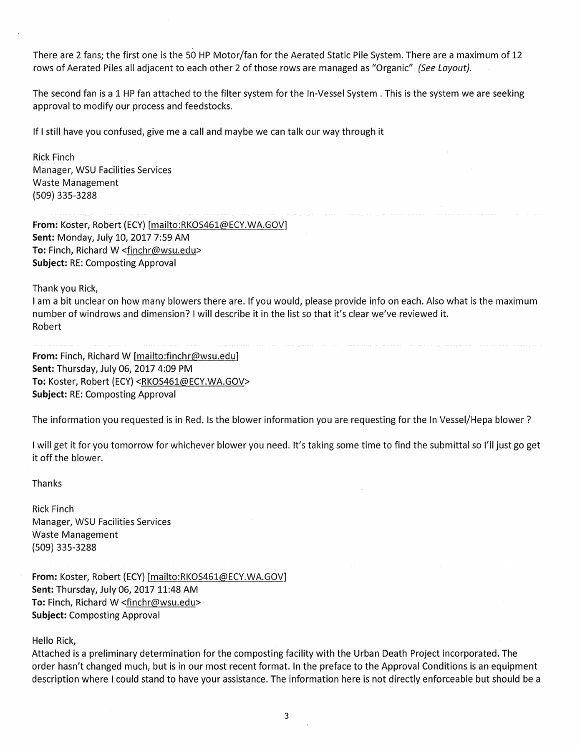There are 2 fans; the first one is the 50 HP Motor/fan for the Aerated Static Pile System. There are a maximum of 12 rows of Aerated Piles all adjacent to each other 2 of those rows are managed as "Organic" (See Layout).

The second fan is a 1 HP fan attached to the filter system for the In-Vessel System . This is the system we are seeking approval to modify our process and feedstocks.

If I still have you confused, give me a call and maybe we can talk our way through it

Rick Finch Manager, WSU Facilities Services Waste Management (509) 335-3288

**From:** Koster, Robert(ECY)[mailto:RKOS461@ECY.WA.GOV] **Sent:** Monday, July 10, 2017 7:59 AM **To:** Finch, Richard W <finchr@wsu.edu> **Subject:** RE: Composting Approval

Thank you Rick,

I am a bit unclear on how many blowers there are. If you would, please provide info on each. Also what is the maximum number of windrows and dimension? I will describe it in the list so that it's clear we've reviewed it. Robert

**From:** Finch, Richard W [mailto:finchr@wsu.edu] **Sent:** Thursday, July 06, 2017 4:09 PM **To:** Koster, Robert (ECY) <RKOS461@ECY.WA.GOV> **Subject:** RE: Composting Approval

The information you requested is in Red. Is the blower information you are requesting for the In Vessel/Hepa blower?

I will get it for you tomorrow for whichever blower you need. It's taking some time to find the submittal so I'll just go get it off the blower.

Thanks

Rick Finch Manager, WSU Facilities Services Waste Management (509) 335-3288

From: Koster, Robert (ECY) [mailto:RKOS461@ECY.WA.GOV] **Sent:** Thursday, July 06, 2017 11:48 AM **To:** Finch, Richard W <finchr@wsu.edu> **Subject:** Composting Approval

Hello Rick,

Attached is a preliminary determination for the composting facility with the Urban Death Project incorporated. The order hasn't changed much, but is in our most recent format. In the preface to the Approval Conditions is an equipment description where I could stand to have your assistance. The information here is not directly enforceable but should be a

3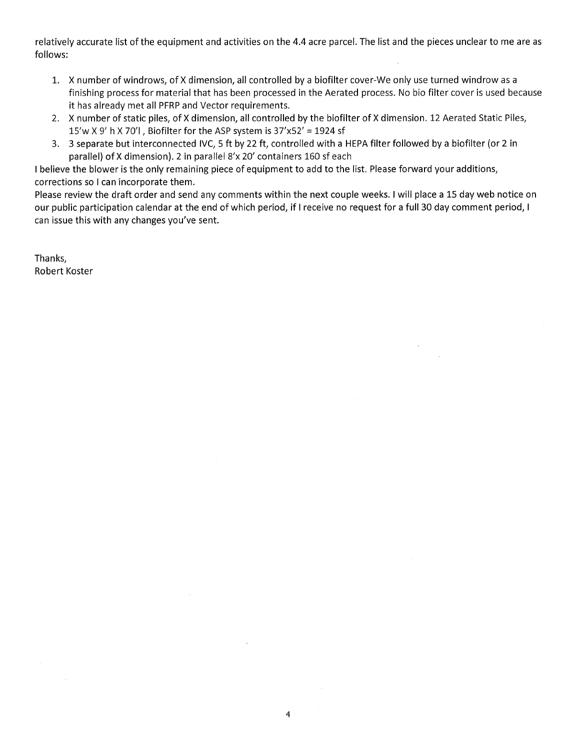relatively accurate list of the equipment and activities on the 4.4 acre parcel. The list and the pieces unclear to me are as follows:

- 1. X number of windrows, of X dimension, all controlled by a biofilter cover-We only use turned windrow as a finishing process for material that has been processed in the Aerated process. No bio filter cover is used because it has already met all PFRP and Vector requirements.
- 2. X number of static piles, of X dimension, all controlled by the biofilter of X dimension. 12 Aerated Static Piles, 15'w X 9' h X 70'l, Biofilter for the ASP system is  $37'x52' = 1924$  sf
- 3. 3 separate but interconnected IVC, 5 ft by 22 ft, controlled with a HEPA filter followed by a biofilter (or 2 in parallel) of X dimension). 2 in parallel 8'x 20' containers 160 sf each

I believe the blower is the only remaining piece of equipment to add to the list. Please forward your additions, corrections so I can incorporate them.

Please review the draft order and send any comments within the next couple weeks. I will place a 15 day web notice on our public participation calendar at the end of which period, if I receive no request for a full 30 day comment period, I can issue this with any changes you've sent.

Thanks, Robert Koster